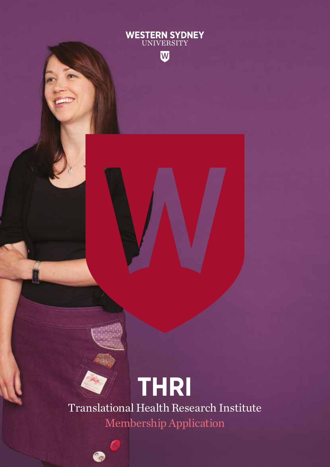

€

Translational Health Research Institute

**WESTERN SYDNEY**<br>UNIVERSITY

W

Membership Application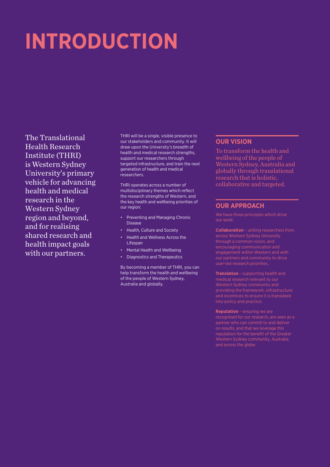# **INTRODUCTION**

The Translational Health Research Institute (THRI) is Western Sydney University's primary vehicle for advancing health and medical research in the Western Sydney region and beyond, and for realising shared research and health impact goals with our partners.

THRI will be a single, visible presence to our stakeholders and community. It will draw upon the University's breadth of health and medical research strengths, support our researchers through targeted infrastructure, and train the next generation of health and medical researchers.

THRI operates across a number of multidisciplinary themes which reflect the research strengths of Western, and the key health and wellbeing priorities of our region:

- Preventing and Managing Chronic Disease
- Health, Culture and Society
- Health and Wellness Across the Lifespan
- Mental Health and Wellbeing
- Diagnostics and Therapeutics

By becoming a member of THRI, you can help transform the health and wellbeing of the people of Western Sydney, Australia and globally.

#### **OUR VISION**

To transform the health and wellbeing of the people of Western Sydney, Australia and globally through translational research that is holistic, collaborative and targeted.

#### **OUR APPROACH**

We have three principles which drive our work:

**Collaboration** – uniting researchers from through a common vision, and encouraging communication and engagement within Western and with user-led research priorities.

**Translation** – supporting health and medical research relevant to our Western Sydney community and and incentives to ensure it is translated into policy and practice.

**Reputation** – ensuring we are recognised for our research, are seen as a partner who can commit to and deliver reputation for the benefit of the Greater and across the globe.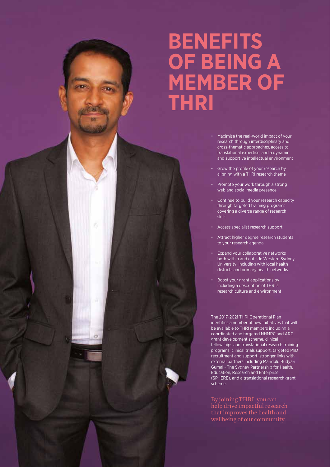## **BENEFITS OF BEING A MEMBER OF THRI**

- Maximise the real-world impact of your research through interdisciplinary and cross-thematic approaches, access to translational expertise, and a dynamic and supportive intellectual environment
- Grow the profile of your research by aligning with a THRI research theme
- Promote your work through a strong web and social media presence
- Continue to build your research capacity through targeted training programs covering a diverse range of research skills
- Access specialist research support
- Attract higher degree research students to your research agenda
- Expand your collaborative networks both within and outside Western Sydney University, including with local health districts and primary health networks
- Boost your grant applications by including a description of THRI's research culture and environment

The 2017-2021 THRI Operational Plan identifies a number of new initiatives that will be available to THRI members including a coordinated and targeted NHMRC and ARC grant development scheme, clinical fellowships and translational research training programs, clinical trials support, targeted PhD recruitment and support, stronger links with external partners including Maridulu Budyari Gumal - The Sydney Partnership for Health, Education, Research and Enterprise (SPHERE), and a translational research grant scheme.

By joining THRI, you can help drive impactful research that improves the health and wellbeing of our community.